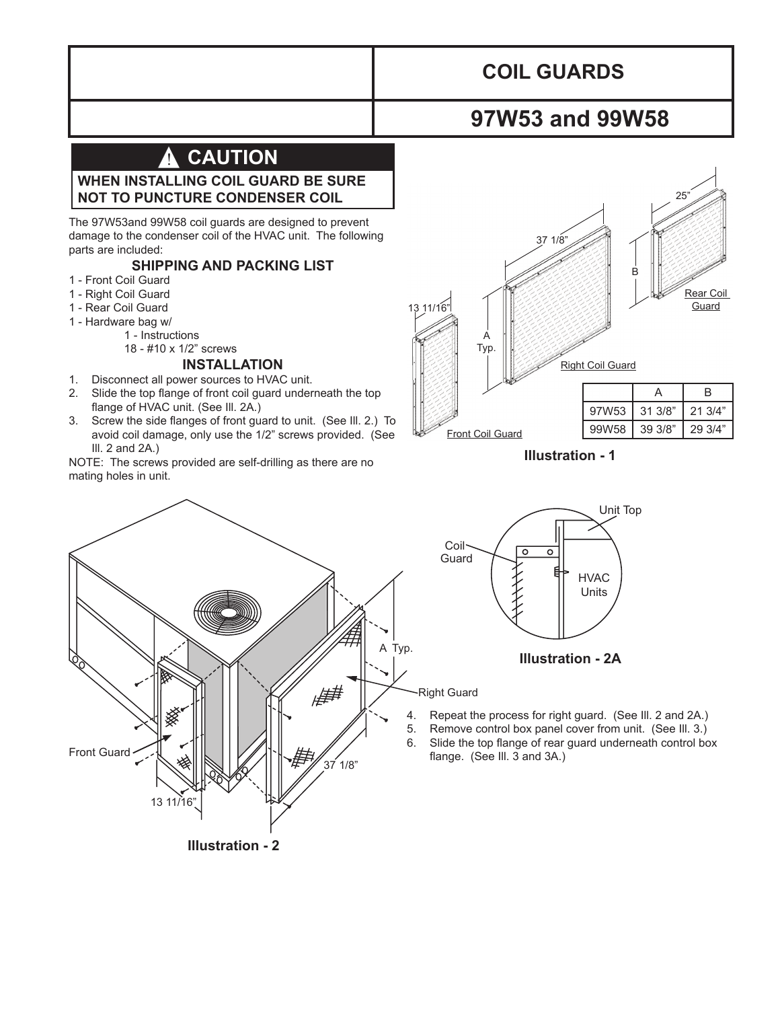# **COIL GUARDS**

# **97W53 and 99W58**

#### **CAUTION** !

### **WHEN INSTALLING COIL GUARD BE SURE NOT TO PUNCTURE CONDENSER COIL**

The 97W53and 99W58 coil guards are designed to prevent damage to the condenser coil of the HVAC unit. The following parts are included:

### **SHIPPING AND PACKING LIST**

- 1 Front Coil Guard
- 1 Right Coil Guard
- 1 Rear Coil Guard
- 1 Hardware bag w/
	- 1 Instructions

## 18 - #10 x 1/2" screws

# **INSTALLATION**

- 1. Disconnect all power sources to HVAC unit.
- 2. Slide the top flange of front coil guard underneath the top flange of HVAC unit. (See Ill. 2A.)
- 3. Screw the side flanges of front guard to unit. (See Ill. 2.) To avoid coil damage, only use the 1/2" screws provided. (See Ill. 2 and 2A.)

NOTE: The screws provided are self-drilling as there are no mating holes in unit.



**Illustration - 1**

ृ०

 $\overline{\circ}$ 



- 5. Remove control box panel cover from unit. (See Ill. 3.)
- 6. Slide the top flange of rear guard underneath control box flange. (See III. 3 and 3A.)

**Illustration - 2A**

HVAC Units

Unit Top

**Illustration - 2**